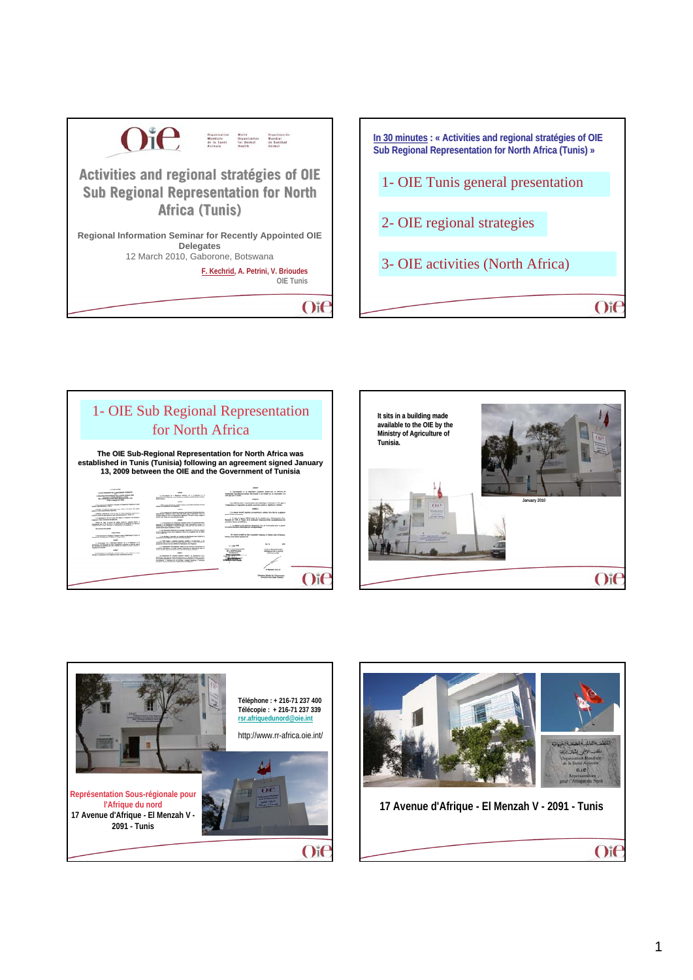





Oif

**Dramar Dramal de l'Organisation**<br>Mondiale de la Tapel Automa





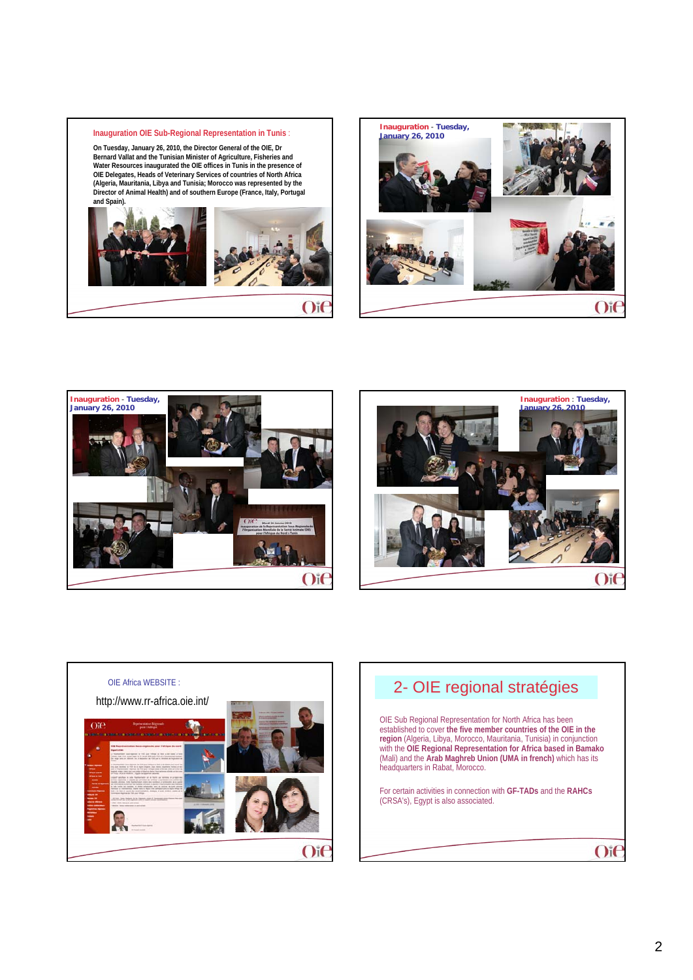

**On Tuesday, January 26, 2010, the Director General of the OIE, Dr Bernard Vallat and the Tunisian Minister of Agriculture, Fisheries and**  Water Resources inaugurated the OIE offices in Tunis in the presence of<br>OIE Delegates, Heads of Veterinary Services of countries of North Africa<br>(Algeria, Mauritania, Libya and Tunisia; Morocco was represented by the **Director of Animal Health) and of southern Europe (France, Italy, Portugal and Spain).** 











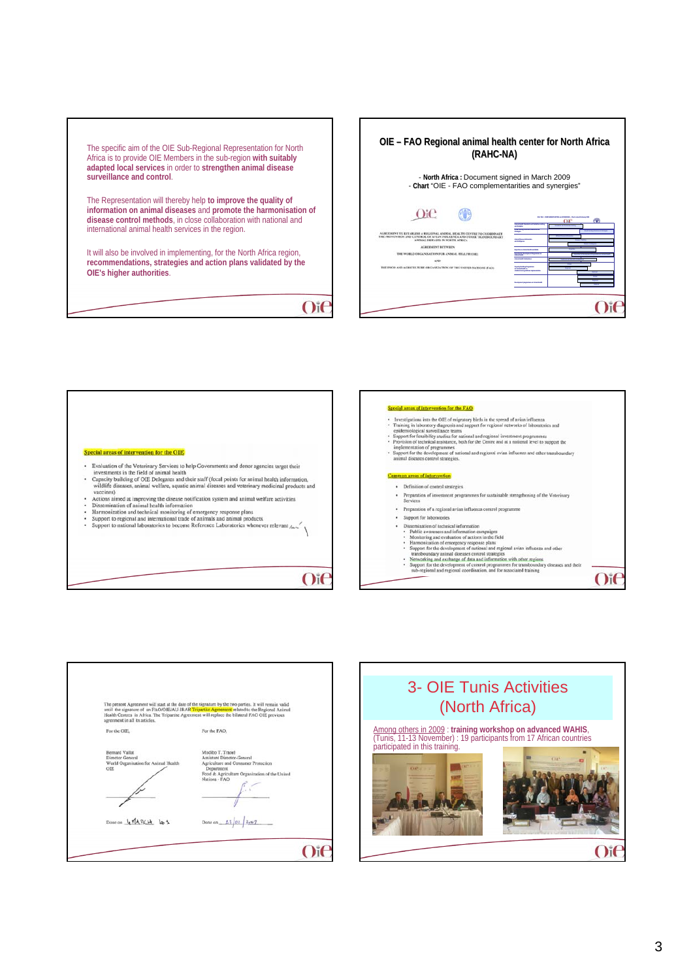The specific aim of the OIE Sub-Regional Representation for North Africa is to provide OIE Members in the sub-region **with suitably adapted local services** in order to **strengthen animal disease surveillance and control**.

The Representation will thereby help **to improve the quality of information on animal diseases** and **promote the harmonisation of disease control methods**, in close collaboration with national and international animal health services in the region.

It will also be involved in implementing, for the North Africa region, **recommendations, strategies and action plans validated by the OIE's higher authorities**.

 $O$ i $\epsilon$